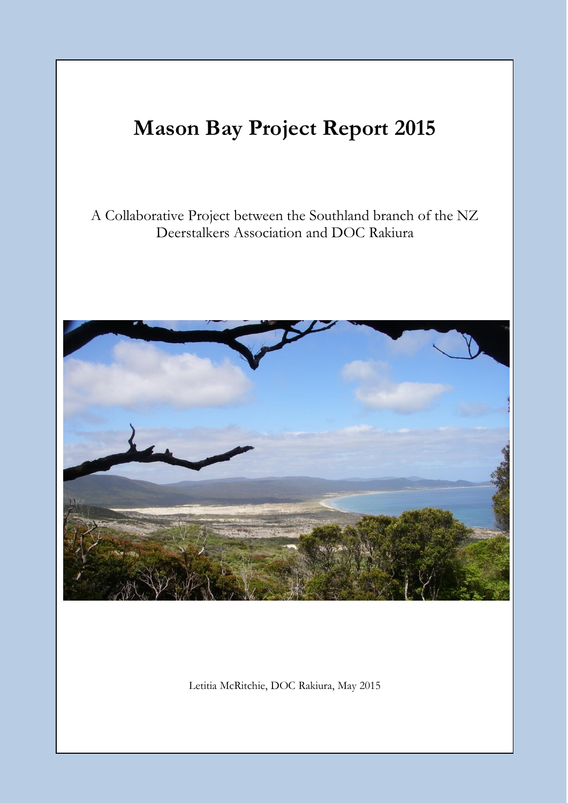# **Mason Bay Project Report 2015**

# A Collaborative Project between the Southland branch of the NZ Deerstalkers Association and DOC Rakiura



Letitia McRitchie, DOC Rakiura, May 2015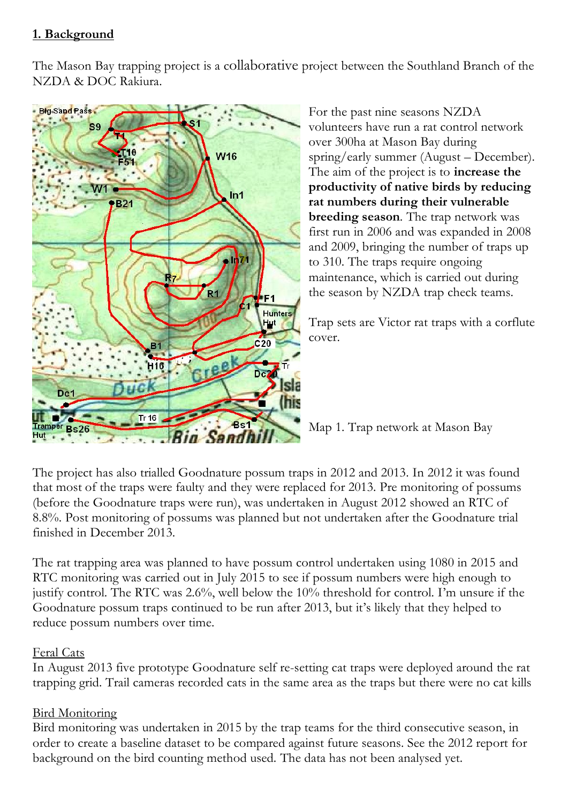# **1. Background**

The Mason Bay trapping project is a collaborative project between the Southland Branch of the NZDA & DOC Rakiura.



For the past nine seasons NZDA volunteers have run a rat control network over 300ha at Mason Bay during spring/early summer (August – December). The aim of the project is to **increase the productivity of native birds by reducing rat numbers during their vulnerable breeding season***.* The trap network was first run in 2006 and was expanded in 2008 and 2009, bringing the number of traps up to 310. The traps require ongoing maintenance, which is carried out during the season by NZDA trap check teams.

Trap sets are Victor rat traps with a corflute cover.

Map 1. Trap network at Mason Bay

The project has also trialled Goodnature possum traps in 2012 and 2013. In 2012 it was found that most of the traps were faulty and they were replaced for 2013. Pre monitoring of possums (before the Goodnature traps were run), was undertaken in August 2012 showed an RTC of 8.8%. Post monitoring of possums was planned but not undertaken after the Goodnature trial finished in December 2013.

The rat trapping area was planned to have possum control undertaken using 1080 in 2015 and RTC monitoring was carried out in July 2015 to see if possum numbers were high enough to justify control. The RTC was 2.6%, well below the 10% threshold for control. I'm unsure if the Goodnature possum traps continued to be run after 2013, but it's likely that they helped to reduce possum numbers over time.

#### Feral Cats

In August 2013 five prototype Goodnature self re-setting cat traps were deployed around the rat trapping grid. Trail cameras recorded cats in the same area as the traps but there were no cat kills

# **Bird Monitoring**

Bird monitoring was undertaken in 2015 by the trap teams for the third consecutive season, in order to create a baseline dataset to be compared against future seasons. See the 2012 report for background on the bird counting method used. The data has not been analysed yet.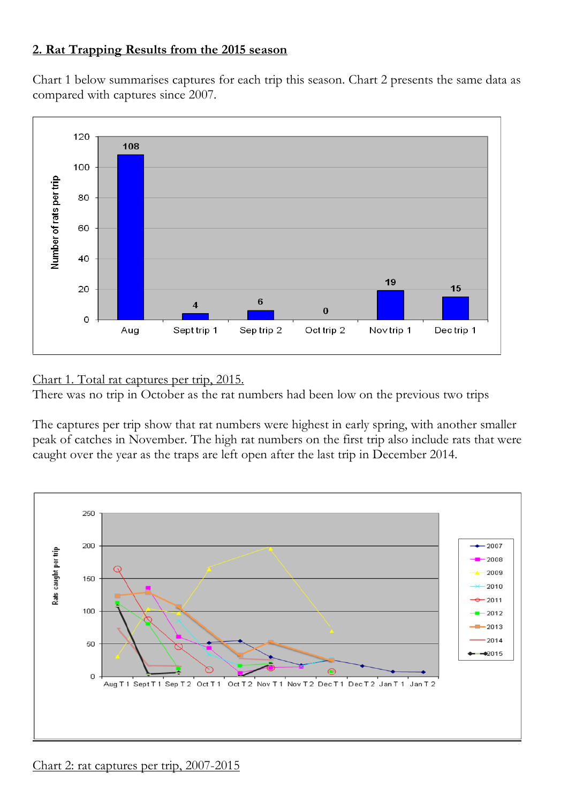### **2. Rat Trapping Results from the 2015 season**

Chart 1 below summarises captures for each trip this season. Chart 2 presents the same data as compared with captures since 2007.



Chart 1. Total rat captures per trip, 2015.

There was no trip in October as the rat numbers had been low on the previous two trips

The captures per trip show that rat numbers were highest in early spring, with another smaller peak of catches in November. The high rat numbers on the first trip also include rats that were caught over the year as the traps are left open after the last trip in December 2014.

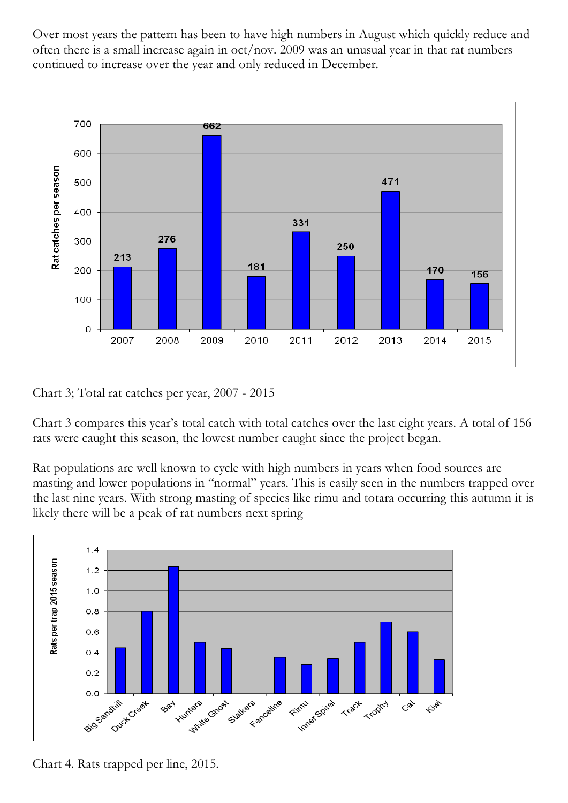Over most years the pattern has been to have high numbers in August which quickly reduce and often there is a small increase again in oct/nov. 2009 was an unusual year in that rat numbers continued to increase over the year and only reduced in December.



#### Chart 3; Total rat catches per year, 2007 - 2015

Chart 3 compares this year's total catch with total catches over the last eight years. A total of 156 rats were caught this season, the lowest number caught since the project began.

Rat populations are well known to cycle with high numbers in years when food sources are masting and lower populations in "normal" years. This is easily seen in the numbers trapped over the last nine years. With strong masting of species like rimu and totara occurring this autumn it is likely there will be a peak of rat numbers next spring



Chart 4. Rats trapped per line, 2015.